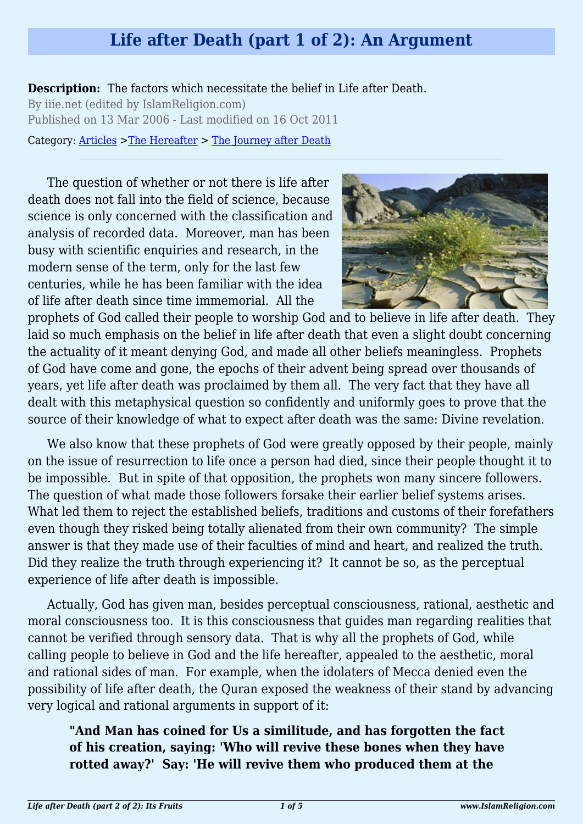## **Life after Death (part 1 of 2): An Argument**

**Description:** The factors which necessitate the belief in Life after Death. By iiie.net (edited by IslamReligion.com) Published on 13 Mar 2006 - Last modified on 16 Oct 2011 Category: [Articles](http://www.islamreligion.com/articles/) >[The Hereafter](http://www.islamreligion.com/category/59/) > [The Journey after Death](http://www.islamreligion.com/category/62/)

The question of whether or not there is life after death does not fall into the field of science, because science is only concerned with the classification and analysis of recorded data. Moreover, man has been busy with scientific enquiries and research, in the modern sense of the term, only for the last few centuries, while he has been familiar with the idea of life after death since time immemorial. All the



prophets of God called their people to worship God and to believe in life after death. They laid so much emphasis on the belief in life after death that even a slight doubt concerning the actuality of it meant denying God, and made all other beliefs meaningless. Prophets of God have come and gone, the epochs of their advent being spread over thousands of years, yet life after death was proclaimed by them all. The very fact that they have all dealt with this metaphysical question so confidently and uniformly goes to prove that the source of their knowledge of what to expect after death was the same: Divine revelation.

We also know that these prophets of God were greatly opposed by their people, mainly on the issue of resurrection to life once a person had died, since their people thought it to be impossible. But in spite of that opposition, the prophets won many sincere followers. The question of what made those followers forsake their earlier belief systems arises. What led them to reject the established beliefs, traditions and customs of their forefathers even though they risked being totally alienated from their own community? The simple answer is that they made use of their faculties of mind and heart, and realized the truth. Did they realize the truth through experiencing it? It cannot be so, as the perceptual experience of life after death is impossible.

Actually, God has given man, besides perceptual consciousness, rational, aesthetic and moral consciousness too. It is this consciousness that guides man regarding realities that cannot be verified through sensory data. That is why all the prophets of God, while calling people to believe in God and the life hereafter, appealed to the aesthetic, moral and rational sides of man. For example, when the idolaters of Mecca denied even the possibility of life after death, the Quran exposed the weakness of their stand by advancing very logical and rational arguments in support of it:

**"And Man has coined for Us a similitude, and has forgotten the fact of his creation, saying: 'Who will revive these bones when they have rotted away?' Say: 'He will revive them who produced them at the**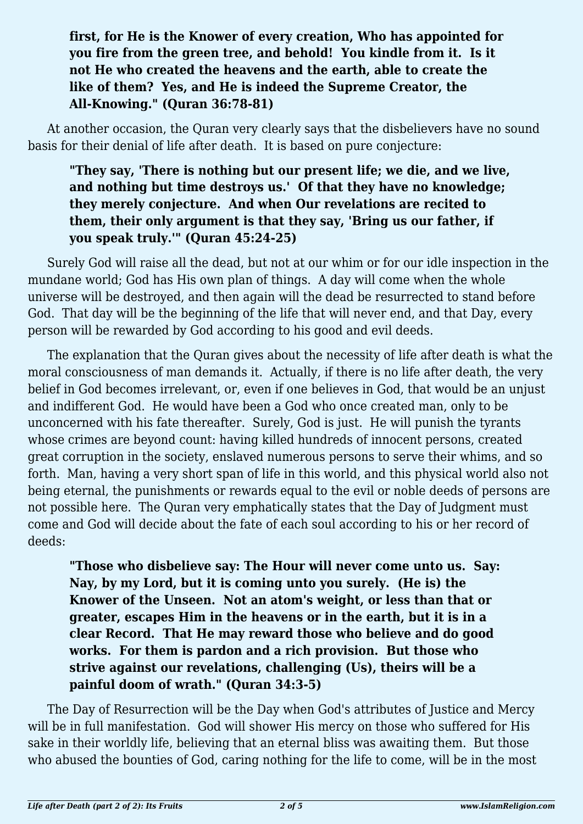## **first, for He is the Knower of every creation, Who has appointed for you fire from the green tree, and behold! You kindle from it. Is it not He who created the heavens and the earth, able to create the like of them? Yes, and He is indeed the Supreme Creator, the All-Knowing." (Quran 36:78-81)**

At another occasion, the Quran very clearly says that the disbelievers have no sound basis for their denial of life after death. It is based on pure conjecture:

## **"They say, 'There is nothing but our present life; we die, and we live, and nothing but time destroys us.' Of that they have no knowledge; they merely conjecture. And when Our revelations are recited to them, their only argument is that they say, 'Bring us our father, if you speak truly.'" (Quran 45:24-25)**

Surely God will raise all the dead, but not at our whim or for our idle inspection in the mundane world; God has His own plan of things. A day will come when the whole universe will be destroyed, and then again will the dead be resurrected to stand before God. That day will be the beginning of the life that will never end, and that Day, every person will be rewarded by God according to his good and evil deeds.

The explanation that the Quran gives about the necessity of life after death is what the moral consciousness of man demands it. Actually, if there is no life after death, the very belief in God becomes irrelevant, or, even if one believes in God, that would be an unjust and indifferent God. He would have been a God who once created man, only to be unconcerned with his fate thereafter. Surely, God is just. He will punish the tyrants whose crimes are beyond count: having killed hundreds of innocent persons, created great corruption in the society, enslaved numerous persons to serve their whims, and so forth. Man, having a very short span of life in this world, and this physical world also not being eternal, the punishments or rewards equal to the evil or noble deeds of persons are not possible here. The Quran very emphatically states that the Day of Judgment must come and God will decide about the fate of each soul according to his or her record of deeds:

**"Those who disbelieve say: The Hour will never come unto us. Say: Nay, by my Lord, but it is coming unto you surely. (He is) the Knower of the Unseen. Not an atom's weight, or less than that or greater, escapes Him in the heavens or in the earth, but it is in a clear Record. That He may reward those who believe and do good works. For them is pardon and a rich provision. But those who strive against our revelations, challenging (Us), theirs will be a painful doom of wrath." (Quran 34:3-5)**

The Day of Resurrection will be the Day when God's attributes of Justice and Mercy will be in full manifestation. God will shower His mercy on those who suffered for His sake in their worldly life, believing that an eternal bliss was awaiting them. But those who abused the bounties of God, caring nothing for the life to come, will be in the most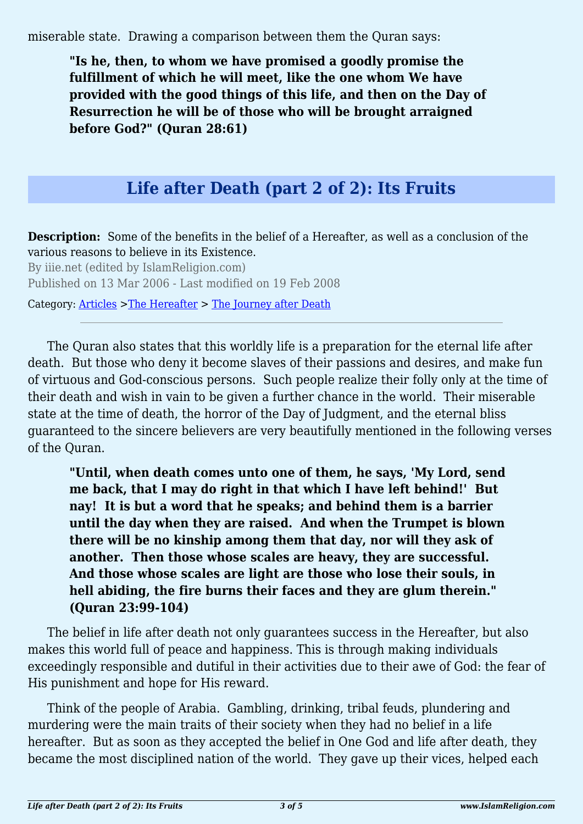miserable state. Drawing a comparison between them the Quran says:

**"Is he, then, to whom we have promised a goodly promise the fulfillment of which he will meet, like the one whom We have provided with the good things of this life, and then on the Day of Resurrection he will be of those who will be brought arraigned before God?" (Quran 28:61)**

## **Life after Death (part 2 of 2): Its Fruits**

**Description:** Some of the benefits in the belief of a Hereafter, as well as a conclusion of the various reasons to believe in its Existence.

By iiie.net (edited by IslamReligion.com) Published on 13 Mar 2006 - Last modified on 19 Feb 2008

Category: [Articles](http://www.islamreligion.com/articles/) >[The Hereafter](http://www.islamreligion.com/category/59/) > [The Journey after Death](http://www.islamreligion.com/category/62/)

The Quran also states that this worldly life is a preparation for the eternal life after death. But those who deny it become slaves of their passions and desires, and make fun of virtuous and God-conscious persons. Such people realize their folly only at the time of their death and wish in vain to be given a further chance in the world. Their miserable state at the time of death, the horror of the Day of Judgment, and the eternal bliss guaranteed to the sincere believers are very beautifully mentioned in the following verses of the Quran.

**"Until, when death comes unto one of them, he says, 'My Lord, send me back, that I may do right in that which I have left behind!' But nay! It is but a word that he speaks; and behind them is a barrier until the day when they are raised. And when the Trumpet is blown there will be no kinship among them that day, nor will they ask of another. Then those whose scales are heavy, they are successful. And those whose scales are light are those who lose their souls, in hell abiding, the fire burns their faces and they are glum therein." (Quran 23:99-104)**

The belief in life after death not only guarantees success in the Hereafter, but also makes this world full of peace and happiness. This is through making individuals exceedingly responsible and dutiful in their activities due to their awe of God: the fear of His punishment and hope for His reward.

Think of the people of Arabia. Gambling, drinking, tribal feuds, plundering and murdering were the main traits of their society when they had no belief in a life hereafter. But as soon as they accepted the belief in One God and life after death, they became the most disciplined nation of the world. They gave up their vices, helped each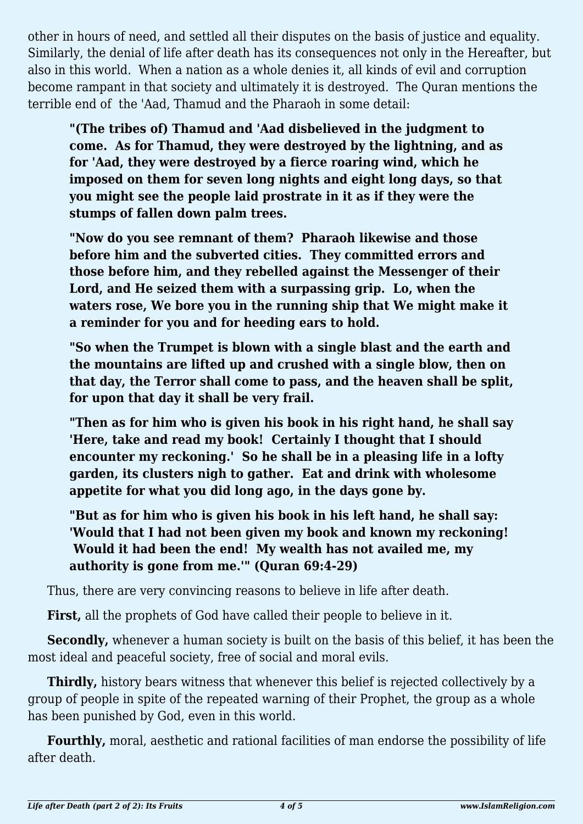other in hours of need, and settled all their disputes on the basis of justice and equality. Similarly, the denial of life after death has its consequences not only in the Hereafter, but also in this world. When a nation as a whole denies it, all kinds of evil and corruption become rampant in that society and ultimately it is destroyed. The Quran mentions the terrible end of the 'Aad, Thamud and the Pharaoh in some detail:

**"(The tribes of) Thamud and 'Aad disbelieved in the judgment to come. As for Thamud, they were destroyed by the lightning, and as for 'Aad, they were destroyed by a fierce roaring wind, which he imposed on them for seven long nights and eight long days, so that you might see the people laid prostrate in it as if they were the stumps of fallen down palm trees.**

**"Now do you see remnant of them? Pharaoh likewise and those before him and the subverted cities. They committed errors and those before him, and they rebelled against the Messenger of their Lord, and He seized them with a surpassing grip. Lo, when the waters rose, We bore you in the running ship that We might make it a reminder for you and for heeding ears to hold.**

**"So when the Trumpet is blown with a single blast and the earth and the mountains are lifted up and crushed with a single blow, then on that day, the Terror shall come to pass, and the heaven shall be split, for upon that day it shall be very frail.**

**"Then as for him who is given his book in his right hand, he shall say 'Here, take and read my book! Certainly I thought that I should encounter my reckoning.' So he shall be in a pleasing life in a lofty garden, its clusters nigh to gather. Eat and drink with wholesome appetite for what you did long ago, in the days gone by.**

**"But as for him who is given his book in his left hand, he shall say: 'Would that I had not been given my book and known my reckoning! Would it had been the end! My wealth has not availed me, my authority is gone from me.'" (Quran 69:4-29)**

Thus, there are very convincing reasons to believe in life after death.

**First,** all the prophets of God have called their people to believe in it.

**Secondly,** whenever a human society is built on the basis of this belief, it has been the most ideal and peaceful society, free of social and moral evils.

**Thirdly,** history bears witness that whenever this belief is rejected collectively by a group of people in spite of the repeated warning of their Prophet, the group as a whole has been punished by God, even in this world.

**Fourthly,** moral, aesthetic and rational facilities of man endorse the possibility of life after death.